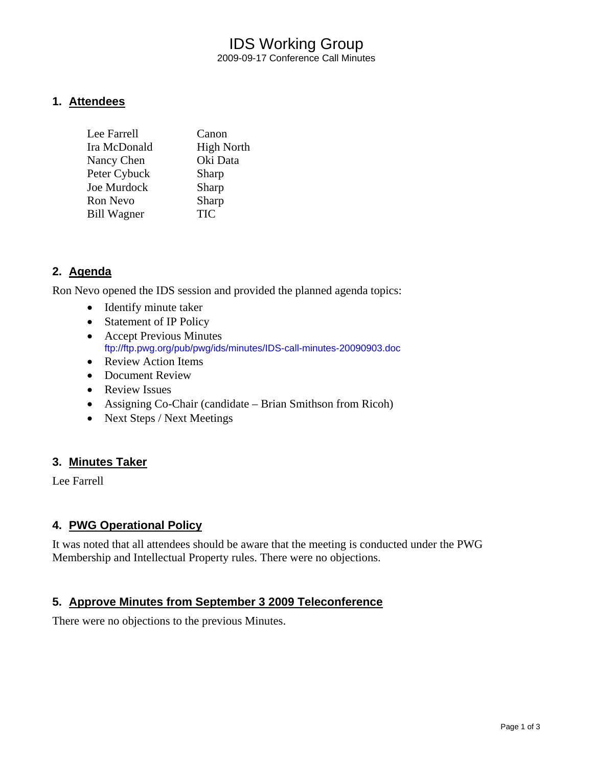## IDS Working Group 2009-09-17 Conference Call Minutes

#### **1. Attendees**

| Lee Farrell        | Canon             |
|--------------------|-------------------|
| Ira McDonald       | <b>High North</b> |
| Nancy Chen         | Oki Data          |
| Peter Cybuck       | Sharp             |
| Joe Murdock        | Sharp             |
| Ron Nevo           | Sharp             |
| <b>Bill Wagner</b> | <b>TIC</b>        |

## **2. Agenda**

Ron Nevo opened the IDS session and provided the planned agenda topics:

- Identify minute taker
- Statement of IP Policy
- Accept Previous Minutes <ftp://ftp.pwg.org/pub/pwg/ids/minutes/IDS-call-minutes-20090903.doc>
- Review Action Items
- Document Review
- Review Issues
- Assigning Co-Chair (candidate Brian Smithson from Ricoh)
- Next Steps / Next Meetings

#### **3. Minutes Taker**

Lee Farrell

#### **4. PWG Operational Policy**

It was noted that all attendees should be aware that the meeting is conducted under the PWG Membership and Intellectual Property rules. There were no objections.

## **5. Approve Minutes from September 3 2009 Teleconference**

There were no objections to the previous Minutes.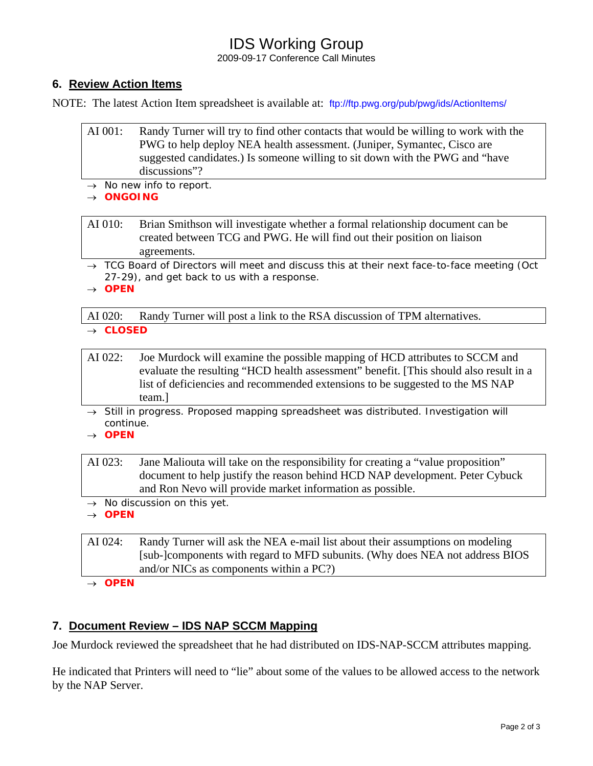# IDS Working Group

2009-09-17 Conference Call Minutes

## **6. Review Action Items**

NOTE: The latest Action Item spreadsheet is available at: <ftp://ftp.pwg.org/pub/pwg/ids/ActionItems/>

- AI 001: Randy Turner will try to find other contacts that would be willing to work with the PWG to help deploy NEA health assessment. (Juniper, Symantec, Cisco are suggested candidates.) Is someone willing to sit down with the PWG and "have discussions"?
- → *No new info to report.*
- → *ONGOING*

AI 010: Brian Smithson will investigate whether a formal relationship document can be created between TCG and PWG. He will find out their position on liaison agreements.

→ *TCG Board of Directors will meet and discuss this at their next face-to-face meeting (Oct 27-29), and get back to us with a response.* 

→ *OPEN* 

AI 020: Randy Turner will post a link to the RSA discussion of TPM alternatives.

→ *CLOSED* 

- AI 022: Joe Murdock will examine the possible mapping of HCD attributes to SCCM and evaluate the resulting "HCD health assessment" benefit. [This should also result in a list of deficiencies and recommended extensions to be suggested to the MS NAP team.]
- → *Still in progress. Proposed mapping spreadsheet was distributed. Investigation will continue.*
- → *OPEN*

AI 023: Jane Maliouta will take on the responsibility for creating a "value proposition" document to help justify the reason behind HCD NAP development. Peter Cybuck and Ron Nevo will provide market information as possible.

- → *No discussion on this yet.*
- → *OPEN*

AI 024: Randy Turner will ask the NEA e-mail list about their assumptions on modeling [sub-]components with regard to MFD subunits. (Why does NEA not address BIOS and/or NICs as components within a PC?)

→ *OPEN* 

## **7. Document Review – IDS NAP SCCM Mapping**

Joe Murdock reviewed the spreadsheet that he had distributed on IDS-NAP-SCCM attributes mapping.

He indicated that Printers will need to "lie" about some of the values to be allowed access to the network by the NAP Server.